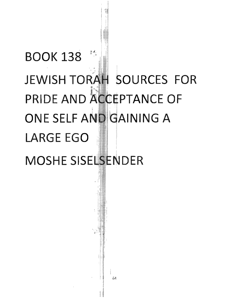## **BOOK 138** JEWISH TORAH SOURCES FOR PRIDE AND ACCEPTANCE OF ONE SELF AND GAINING A **LARGE EGO**

**MOSHE SISELSENDER**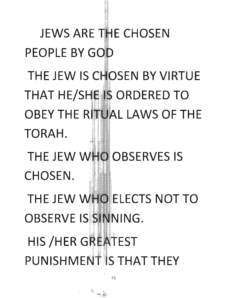**JEWS ARE THE CHOSFN** PEOPLE BY GOD THE JEW IS CHOSEN BY VIRTUE **THAT HE/SHEIS ORDERED TO** OBEY THE RITUAL LAWS OF THE TORAH. THE JEW WHO OBSERVES IS CHOSEN. THE JEW WHO ELECTS NOT TO BSERVE IS SINNING. HIS /HER G**REA**TEST PUNISHMENT IS THAT THE`

£5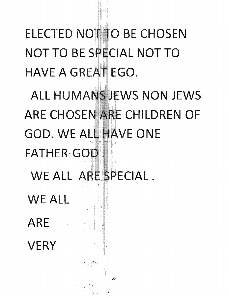ELECTED NOTH TO BE CHOSEN **NOT TO BE SPECIAL NOT TO** HAVE A GREAT EGO.

ALL HUMANS JEWS NON JEWS ARE CHOSEN ARE CHILDREN OF **GOD. WE ALL HAVE ONE** FATHER-GO WE ALL ARE SPECIAL.

WE ALL ARE **VERY** 

 $\label{eq:3.1} \begin{array}{ccc} & \mathcal{A} & \mathfrak{h} \\ & \mathcal{A} & \\ & \mathcal{A} & \\ & \mathcal{A} & \\ & \mathcal{A} & \\ & \mathcal{A} & \\ & \mathcal{A} & \\ & \mathcal{A} & \\ & \mathcal{A} & \\ & \mathcal{A} & \\ & \mathcal{A} & \\ & \mathcal{A} & \\ & \mathcal{A} & \\ & \mathcal{A} & \\ & \mathcal{A} & \\ & \mathcal{A} & \\ & \mathcal{A} & \\ & \mathcal{A} & \\ & \mathcal{A} & \\ & \mathcal{A} & \\ & \mathcal{A} & \\ & \mathcal{A} &$ 

 $\mathbb{F}^n$ 

 $\mathcal{F}_{\text{max}}$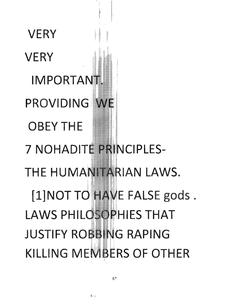**VERY IMPORTANT.** PROVIDING WE **OBEY THE** 7 NOHADITE PRINCIPLES-HUMANITARIAN LAWS. t **[1] T Td**  FALSE gods. LAWS PHILOSOPHIES THAT JUSTIFY ROBBING RAPING KILLING MEMBERS OF OTHER

**VERY** 

à,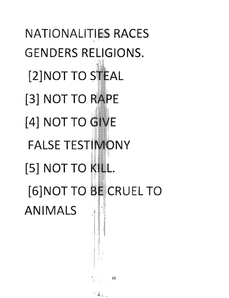**NATIONALITIES RACES** • **GENDERS RELIGIONS. [2]NOT TO STEAL [3] NOT TO RAPE [4] NOT TO FALSE TESTIMONY [5] NOT TO [6] NOT TO BE CRUEL TO ANIMALS** ."

68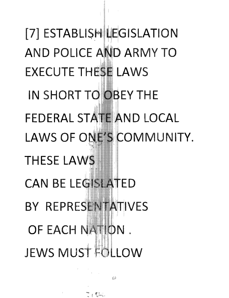[7] ESTABLISH LEGISLATION **AND POLICE AND ARMY TO EXECUTE THESE LAWS** IN SHORT TO OBEY THE **FEDERAL STATE AND LOCAL** LAWS OF ONE'S COMMUNITY. **THESE LAWS CAN BE LEGISLATED** BY REPRESENTATIVES OF EACH NATION. JEWS MUST FULLOW

' (Car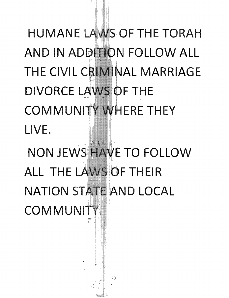HUMANE LAWS OF THE TORAH AND IN ADDITION FOLLOW ALL THE CIVIL CRIMINAL MARRIAGE **DIVORCE LAWS OF THE COMMUNITY WHERE THEY** LIVE. NON JEWS HAVE TO FOLLOW ALL THE LAWS OF THEIR **NATION STATE AND LOCAL** COMMUNIT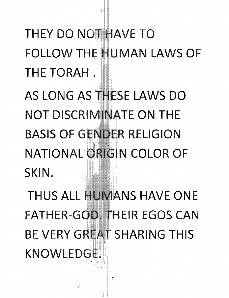THEY DO NOT HAVE TO **FOLLOW THE HUMAN LAWS OF** THE TORAH.

AS LONG AS THESE LAWS DO NOT DISCRIMINATE ON THE **BASIS OF GENDER RELIGION** NATIONAL ORIGIN COLOR OF SKIN.

THUS ALL HUMANS HAVE ONE **FATHER-GOD. THEIR EGOS CAN** BE VERY GREAT SHARING THIS **KNOWLEDGE**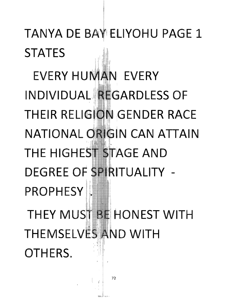TANYA DE BAY ELIYOHU PAGE 1 **STATES** 

EVERY HUMAN EVERY INDIVIDUAL REGARDLESS OF THEIR RELIGION GENDER RACE NATIONAL ORIGIN CAN ATTAIN THE HIGHEST STAGE AND EGREE OF SPIRITUALITY -PROPHESY

THEY MUST BE HONEST WITH THEMSELVES AND WITH OTHERS.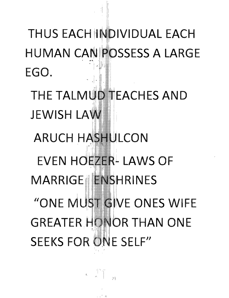THUS EACH INDIVIDUAL EACH **HUMAN CANIPOSSESS A LARGE** EGO.

THE TALMUD TEACHES AND **JEWISH LAW** 

**ARUCH HASHULCON EVEN HOEZER- LAWS OF** MARRIGE IENSHRINES "ONE MUST GIVE ONES WIFE **GREATER HONOR THAN ONE SEEKS FOR ONE SELF"** 

 $\begin{picture}(130,10) \put(0,0){\line(1,0){10}} \put(15,0){\line(1,0){10}} \put(15,0){\line(1,0){10}} \put(15,0){\line(1,0){10}} \put(15,0){\line(1,0){10}} \put(15,0){\line(1,0){10}} \put(15,0){\line(1,0){10}} \put(15,0){\line(1,0){10}} \put(15,0){\line(1,0){10}} \put(15,0){\line(1,0){10}} \put(15,0){\line(1,0){10}} \put(15,0){\line($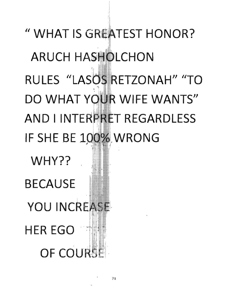" WHAT IS GREATEST HONOR? **ARUCH HASHOLCHON** RULES "LASOS RETZONAH" "TO DO WHAT YOUR WIFE WANTS" AND I INTERPRET REGARDLESS IF SHE BE 100% WRONG

WHY?? **BECAUSE** YOU INCREASE **HER EGO** 1 **OF COURSE**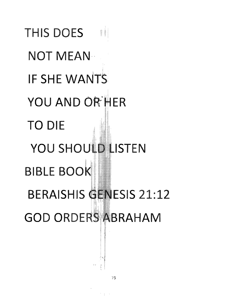THIS DOES 11 **NOT MEAN** IF SHE WANTS YOU AND OR HER **TO DIE** YOU SHOULD LISTEN **BIBLE BOOK BERAISHIS GENESIS 21:12 GOD ORDERS ABRAHAM**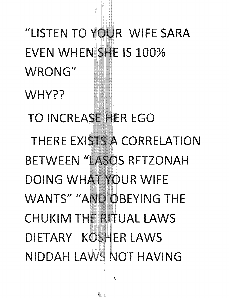"LISTEN TO YOUR WIFE SARA EVEN WHEN SHE IS 100% WRONG" WHY?? **TO INCREASE HER EGO** THERE EXISTS A CORRELATION **BETWEEN "LASOS RETZONAH DOING WHAT YOUR WIFE WANTS" "AND OBEYING THE** CHUKIM THE RITUAL LAWS DIETARY KOSHER LAWS **NIDDAH LAWS NOT HAVING**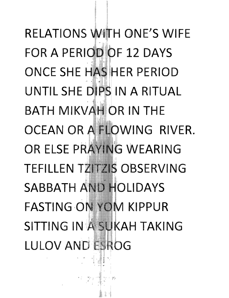RELATIONS WITH ONE'S WIFE **FOR A PERIODIOF 12 DAYS** ONCE SHE HAS HER PERIOD UNTIL SHE DIPS IN A RITUAL BATH MIKVAH OR IN THE OCEAN OR A FLOWING RIVER. **OR ELSE PRAYING WEARING TEFILLEN TZITZIS OBSERVING** SABBATH AND HOLIDAYS **FASTING ON YOM KIPPUR** SITTING IN A SUKAH TAKING LULOV AND ESROG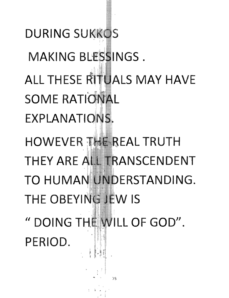**DURING SUKKOS** MAKING BLESSINGS. ALL THESE RITUALS MAY HAVE **SOME RATIONAL** EXPLANATIONS. HOWEVER THE REAL TRUTH THEY ARE ALL TRANSCENDENT TO HUMAN UNDERSTANDING. THE OBEYING JEW IS " DOING THE WILL OF GOD". PERIOD.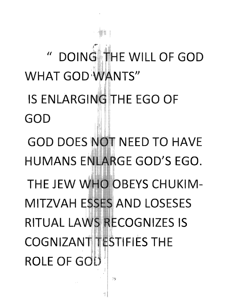" DOING THE WILL OF GOD **WHAT GOD WANTS"** IS ENLARGING THE EGO OF GOD **GOD DOES NOT NEED TO HAVE** HUMANS ENLARGE GOD'S EGO. THE JEW WHO OBEYS CHUKIM-MITZVAH ESSES AND LOSESES RITUAL LAWS RECOGNIZES IS **COGNIZANT TESTIFIES THE ROLE OF GOL'**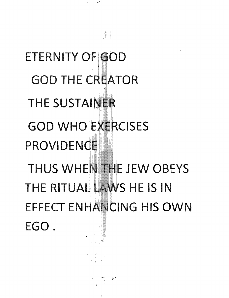**ETERNITY OF GOD GOD THE CREATOR** THE SUSTAINER **GOD WHO EXERCISES** PROVIDENCE THUS WHEN THE JEW OBEYS THE RITUAL LAWS HE IS IN EFFECT ENHANCING HIS OWN EGO.

 $\lambda$  and  $\lambda$  ,  $\lambda$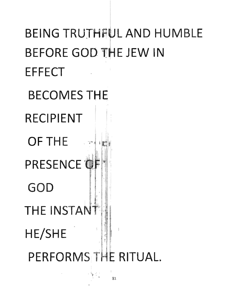## BEING TRUTHFUL AND HUMBLE BEFORE GOD THE JEW IN **EFFECT BECOMES THE RECIPIENT OF THE**  $\mathbb{R}^m$ PRESENCE OF GOD THE INSTANT ţ HE/SHE PERFORMS THE RITUAL.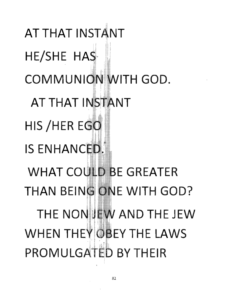AT THAT INSTANT HE/SHE HAS COMMUNION WITH GOD. AT THAT INSTANT HIS /HER EGO IS ENHANCED. **WHAT COULD BE GREATER** THAN BEING ONE WITH GOD? THE NONIJEW AND THE JEW WHEN THEY OBEY THE LAWS PROMULGATED BY THFIR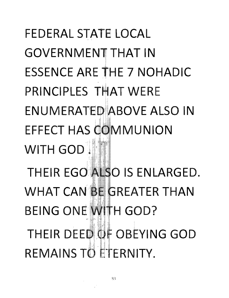FEDERAL STATE LOCAL GOVERNMENT THAT IN ESSENCE ARE THE 7 NOHADIC PRINCIPLES THAT WERF ENUMERATED ABOVE ALSO IN EFFECT HAS COMMUNION WITH GOD<sup>11</sup> THEIR EGO ALSO IS ENLARGED. WHAT CAN BE GREATER THAN BEING ONE WITH GOD? THEIR DEED OF OBEYING GOD REMAINS TO ETERNITY.